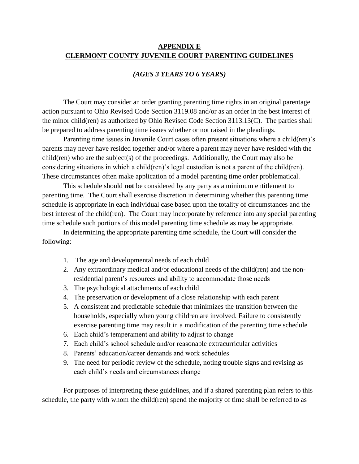## **APPENDIX E CLERMONT COUNTY JUVENILE COURT PARENTING GUIDELINES**

### *(AGES 3 YEARS TO 6 YEARS)*

The Court may consider an order granting parenting time rights in an original parentage action pursuant to Ohio Revised Code Section 3119.08 and/or as an order in the best interest of the minor child(ren) as authorized by Ohio Revised Code Section 3113.13(C). The parties shall be prepared to address parenting time issues whether or not raised in the pleadings.

Parenting time issues in Juvenile Court cases often present situations where a child(ren)'s parents may never have resided together and/or where a parent may never have resided with the child(ren) who are the subject(s) of the proceedings. Additionally, the Court may also be considering situations in which a child(ren)'s legal custodian is not a parent of the child(ren). These circumstances often make application of a model parenting time order problematical.

This schedule should **not** be considered by any party as a minimum entitlement to parenting time. The Court shall exercise discretion in determining whether this parenting time schedule is appropriate in each individual case based upon the totality of circumstances and the best interest of the child(ren). The Court may incorporate by reference into any special parenting time schedule such portions of this model parenting time schedule as may be appropriate.

In determining the appropriate parenting time schedule, the Court will consider the following:

- 1. The age and developmental needs of each child
- 2. Any extraordinary medical and/or educational needs of the child(ren) and the nonresidential parent's resources and ability to accommodate those needs
- 3. The psychological attachments of each child
- 4. The preservation or development of a close relationship with each parent
- 5. A consistent and predictable schedule that minimizes the transition between the households, especially when young children are involved. Failure to consistently exercise parenting time may result in a modification of the parenting time schedule
- 6. Each child's temperament and ability to adjust to change
- 7. Each child's school schedule and/or reasonable extracurricular activities
- 8. Parents' education/career demands and work schedules
- 9. The need for periodic review of the schedule, noting trouble signs and revising as each child's needs and circumstances change

For purposes of interpreting these guidelines, and if a shared parenting plan refers to this schedule, the party with whom the child(ren) spend the majority of time shall be referred to as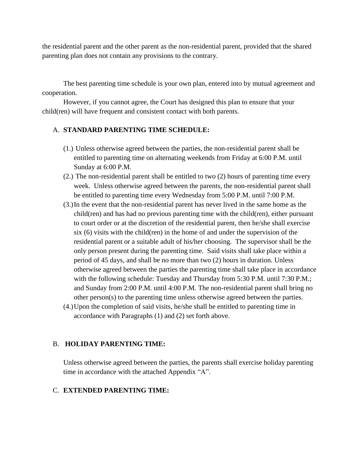the residential parent and the other parent as the non-residential parent, provided that the shared parenting plan does not contain any provisions to the contrary.

The best parenting time schedule is your own plan, entered into by mutual agreement and cooperation.

However, if you cannot agree, the Court has designed this plan to ensure that your child(ren) will have frequent and consistent contact with both parents.

## A. **STANDARD PARENTING TIME SCHEDULE:**

- (1.) Unless otherwise agreed between the parties, the non-residential parent shall be entitled to parenting time on alternating weekends from Friday at 6:00 P.M. until Sunday at 6:00 P.M.
- (2.) The non-residential parent shall be entitled to two (2) hours of parenting time every week. Unless otherwise agreed between the parents, the non-residential parent shall be entitled to parenting time every Wednesday from 5:00 P.M. until 7:00 P.M.
- (3.)In the event that the non-residential parent has never lived in the same home as the child(ren) and has had no previous parenting time with the child(ren), either pursuant to court order or at the discretion of the residential parent, then he/she shall exercise six (6) visits with the child(ren) in the home of and under the supervision of the residential parent or a suitable adult of his/her choosing. The supervisor shall be the only person present during the parenting time. Said visits shall take place within a period of 45 days, and shall be no more than two (2) hours in duration. Unless otherwise agreed between the parties the parenting time shall take place in accordance with the following schedule: Tuesday and Thursday from 5:30 P.M. until 7:30 P.M.; and Sunday from 2:00 P.M. until 4:00 P.M. The non-residential parent shall bring no other person(s) to the parenting time unless otherwise agreed between the parties.
- (4.)Upon the completion of said visits, he/she shall be entitled to parenting time in accordance with Paragraphs (1) and (2) set forth above.

# B. **HOLIDAY PARENTING TIME:**

Unless otherwise agreed between the parties, the parents shall exercise holiday parenting time in accordance with the attached Appendix "A".

### C. **EXTENDED PARENTING TIME:**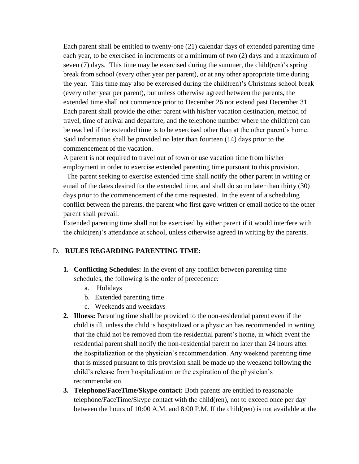Each parent shall be entitled to twenty-one (21) calendar days of extended parenting time each year, to be exercised in increments of a minimum of two (2) days and a maximum of seven (7) days. This time may be exercised during the summer, the child(ren)'s spring break from school (every other year per parent), or at any other appropriate time during the year. This time may also be exercised during the child(ren)'s Christmas school break (every other year per parent), but unless otherwise agreed between the parents, the extended time shall not commence prior to December 26 nor extend past December 31. Each parent shall provide the other parent with his/her vacation destination, method of travel, time of arrival and departure, and the telephone number where the child(ren) can be reached if the extended time is to be exercised other than at the other parent's home. Said information shall be provided no later than fourteen (14) days prior to the commencement of the vacation.

A parent is not required to travel out of town or use vacation time from his/her employment in order to exercise extended parenting time pursuant to this provision.

 The parent seeking to exercise extended time shall notify the other parent in writing or email of the dates desired for the extended time, and shall do so no later than thirty (30) days prior to the commencement of the time requested. In the event of a scheduling conflict between the parents, the parent who first gave written or email notice to the other parent shall prevail.

Extended parenting time shall not be exercised by either parent if it would interfere with the child(ren)'s attendance at school, unless otherwise agreed in writing by the parents.

### D. **RULES REGARDING PARENTING TIME:**

- **1. Conflicting Schedules:** In the event of any conflict between parenting time schedules, the following is the order of precedence:
	- a. Holidays
	- b. Extended parenting time
	- c. Weekends and weekdays
- **2. Illness:** Parenting time shall be provided to the non-residential parent even if the child is ill, unless the child is hospitalized or a physician has recommended in writing that the child not be removed from the residential parent's home, in which event the residential parent shall notify the non-residential parent no later than 24 hours after the hospitalization or the physician's recommendation. Any weekend parenting time that is missed pursuant to this provision shall be made up the weekend following the child's release from hospitalization or the expiration of the physician's recommendation.
- **3. Telephone/FaceTime/Skype contact:** Both parents are entitled to reasonable telephone/FaceTime/Skype contact with the child(ren), not to exceed once per day between the hours of 10:00 A.M. and 8:00 P.M. If the child(ren) is not available at the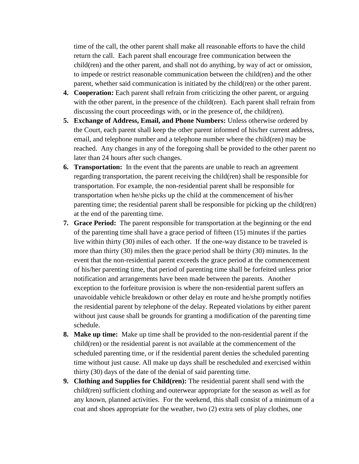time of the call, the other parent shall make all reasonable efforts to have the child return the call. Each parent shall encourage free communication between the child(ren) and the other parent, and shall not do anything, by way of act or omission, to impede or restrict reasonable communication between the child(ren) and the other parent, whether said communication is initiated by the child(ren) or the other parent.

- **4. Cooperation:** Each parent shall refrain from criticizing the other parent, or arguing with the other parent, in the presence of the child(ren). Each parent shall refrain from discussing the court proceedings with, or in the presence of, the child(ren).
- **5. Exchange of Address, Email, and Phone Numbers:** Unless otherwise ordered by the Court, each parent shall keep the other parent informed of his/her current address, email, and telephone number and a telephone number where the child(ren) may be reached. Any changes in any of the foregoing shall be provided to the other parent no later than 24 hours after such changes.
- **6. Transportation:** In the event that the parents are unable to reach an agreement regarding transportation, the parent receiving the child(ren) shall be responsible for transportation. For example, the non-residential parent shall be responsible for transportation when he/she picks up the child at the commencement of his/her parenting time; the residential parent shall be responsible for picking up the child(ren) at the end of the parenting time.
- **7. Grace Period:** The parent responsible for transportation at the beginning or the end of the parenting time shall have a grace period of fifteen (15) minutes if the parties live within thirty (30) miles of each other. If the one-way distance to be traveled is more than thirty (30) miles then the grace period shall be thirty (30) minutes. In the event that the non-residential parent exceeds the grace period at the commencement of his/her parenting time, that period of parenting time shall be forfeited unless prior notification and arrangements have been made between the parents. Another exception to the forfeiture provision is where the non-residential parent suffers an unavoidable vehicle breakdown or other delay en route and he/she promptly notifies the residential parent by telephone of the delay. Repeated violations by either parent without just cause shall be grounds for granting a modification of the parenting time schedule.
- **8. Make up time:** Make up time shall be provided to the non-residential parent if the child(ren) or the residential parent is not available at the commencement of the scheduled parenting time, or if the residential parent denies the scheduled parenting time without just cause. All make up days shall be rescheduled and exercised within thirty (30) days of the date of the denial of said parenting time.
- **9. Clothing and Supplies for Child(ren):** The residential parent shall send with the child(ren) sufficient clothing and outerwear appropriate for the season as well as for any known, planned activities. For the weekend, this shall consist of a minimum of a coat and shoes appropriate for the weather, two (2) extra sets of play clothes, one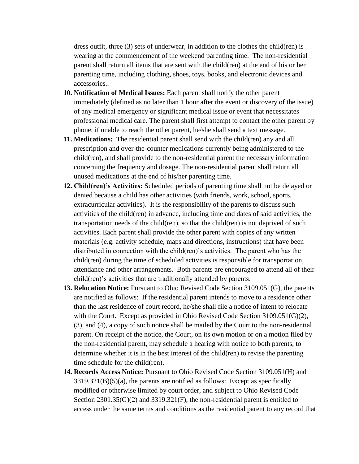dress outfit, three (3) sets of underwear, in addition to the clothes the child(ren) is wearing at the commencement of the weekend parenting time. The non-residential parent shall return all items that are sent with the child(ren) at the end of his or her parenting time, including clothing, shoes, toys, books, and electronic devices and accessories..

- **10. Notification of Medical Issues:** Each parent shall notify the other parent immediately (defined as no later than 1 hour after the event or discovery of the issue) of any medical emergency or significant medical issue or event that necessitates professional medical care. The parent shall first attempt to contact the other parent by phone; if unable to reach the other parent, he/she shall send a text message.
- **11. Medications:** The residential parent shall send with the child(ren) any and all prescription and over-the-counter medications currently being administered to the child(ren), and shall provide to the non-residential parent the necessary information concerning the frequency and dosage. The non-residential parent shall return all unused medications at the end of his/her parenting time.
- **12. Child(ren)'s Activities:** Scheduled periods of parenting time shall not be delayed or denied because a child has other activities (with friends, work, school, sports, extracurricular activities). It is the responsibility of the parents to discuss such activities of the child(ren) in advance, including time and dates of said activities, the transportation needs of the child(ren), so that the child(ren) is not deprived of such activities. Each parent shall provide the other parent with copies of any written materials (e.g. activity schedule, maps and directions, instructions) that have been distributed in connection with the child(ren)'s activities. The parent who has the child(ren) during the time of scheduled activities is responsible for transportation, attendance and other arrangements. Both parents are encouraged to attend all of their child(ren)'s activities that are traditionally attended by parents.
- **13. Relocation Notice:** Pursuant to Ohio Revised Code Section 3109.051(G), the parents are notified as follows: If the residential parent intends to move to a residence other than the last residence of court record, he/she shall file a notice of intent to relocate with the Court. Except as provided in Ohio Revised Code Section 3109.051(G)(2), (3), and (4), a copy of such notice shall be mailed by the Court to the non-residential parent. On receipt of the notice, the Court, on its own motion or on a motion filed by the non-residential parent, may schedule a hearing with notice to both parents, to determine whether it is in the best interest of the child(ren) to revise the parenting time schedule for the child(ren).
- **14. Records Access Notice:** Pursuant to Ohio Revised Code Section 3109.051(H) and  $3319.321(B)(5)(a)$ , the parents are notified as follows: Except as specifically modified or otherwise limited by court order, and subject to Ohio Revised Code Section 2301.35(G)(2) and 3319.321(F), the non-residential parent is entitled to access under the same terms and conditions as the residential parent to any record that